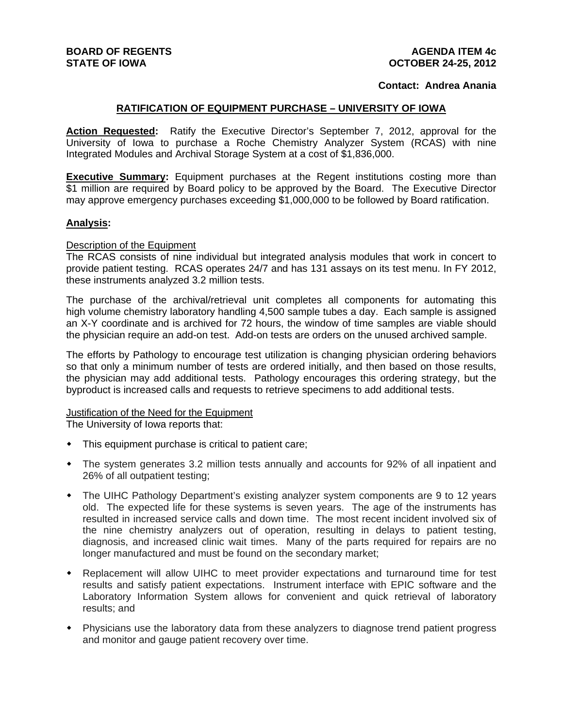## **Contact: Andrea Anania**

## **RATIFICATION OF EQUIPMENT PURCHASE – UNIVERSITY OF IOWA**

Action Requested: Ratify the Executive Director's September 7, 2012, approval for the University of Iowa to purchase a Roche Chemistry Analyzer System (RCAS) with nine Integrated Modules and Archival Storage System at a cost of \$1,836,000.

**Executive Summary:** Equipment purchases at the Regent institutions costing more than \$1 million are required by Board policy to be approved by the Board. The Executive Director may approve emergency purchases exceeding \$1,000,000 to be followed by Board ratification.

### **Analysis:**

#### Description of the Equipment

The RCAS consists of nine individual but integrated analysis modules that work in concert to provide patient testing. RCAS operates 24/7 and has 131 assays on its test menu. In FY 2012, these instruments analyzed 3.2 million tests.

The purchase of the archival/retrieval unit completes all components for automating this high volume chemistry laboratory handling 4,500 sample tubes a day. Each sample is assigned an X-Y coordinate and is archived for 72 hours, the window of time samples are viable should the physician require an add-on test. Add-on tests are orders on the unused archived sample.

The efforts by Pathology to encourage test utilization is changing physician ordering behaviors so that only a minimum number of tests are ordered initially, and then based on those results, the physician may add additional tests. Pathology encourages this ordering strategy, but the byproduct is increased calls and requests to retrieve specimens to add additional tests.

# **Justification of the Need for the Equipment**

The University of Iowa reports that:

- This equipment purchase is critical to patient care;
- The system generates 3.2 million tests annually and accounts for 92% of all inpatient and 26% of all outpatient testing;
- The UIHC Pathology Department's existing analyzer system components are 9 to 12 years old. The expected life for these systems is seven years. The age of the instruments has resulted in increased service calls and down time. The most recent incident involved six of the nine chemistry analyzers out of operation, resulting in delays to patient testing, diagnosis, and increased clinic wait times. Many of the parts required for repairs are no longer manufactured and must be found on the secondary market;
- Replacement will allow UIHC to meet provider expectations and turnaround time for test results and satisfy patient expectations. Instrument interface with EPIC software and the Laboratory Information System allows for convenient and quick retrieval of laboratory results; and
- Physicians use the laboratory data from these analyzers to diagnose trend patient progress and monitor and gauge patient recovery over time.